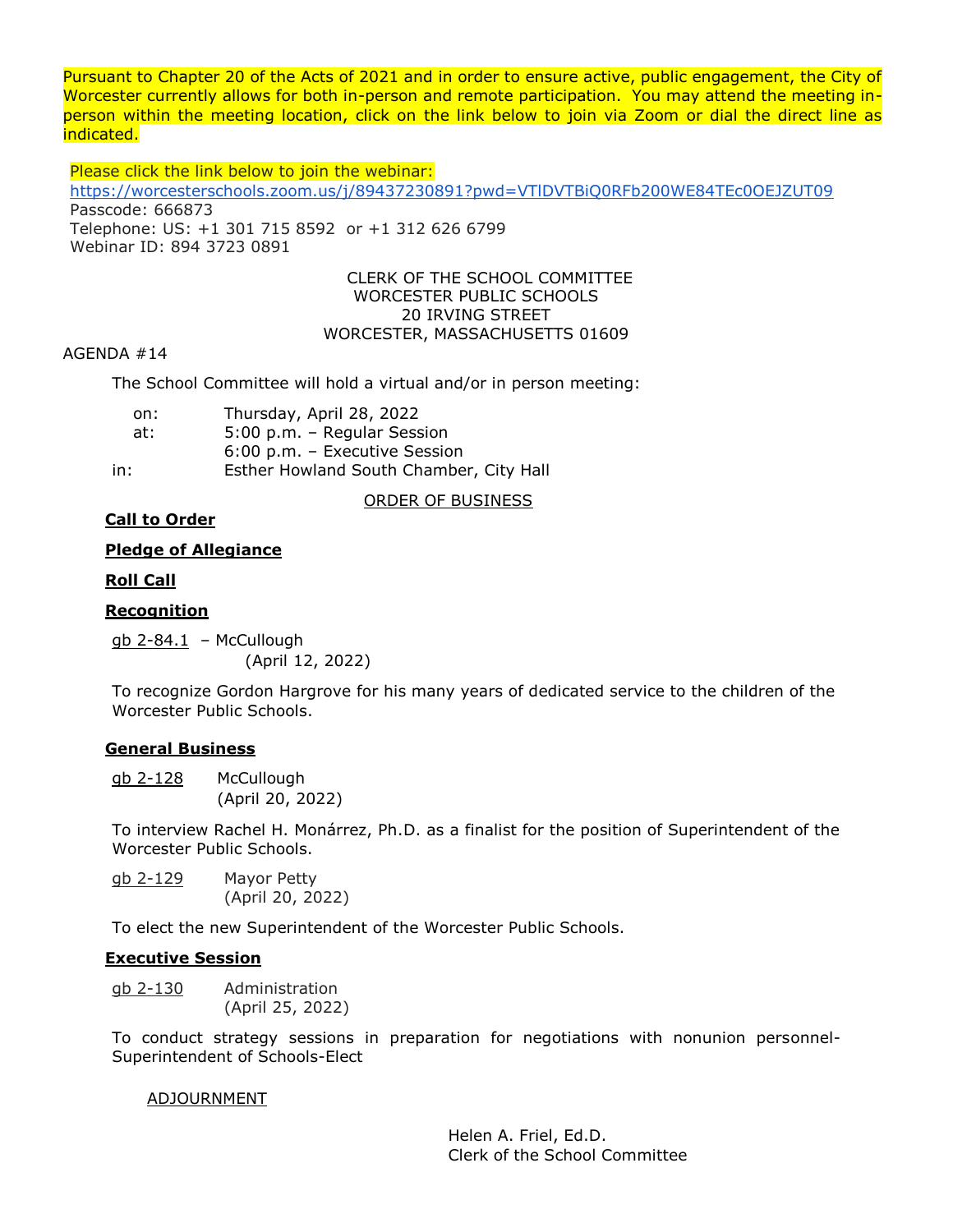Pursuant to Chapter 20 of the Acts of 2021 and in order to ensure active, public engagement, the City of Worcester currently allows for both in-person and remote participation. You may attend the meeting inperson within the meeting location, click on the link below to join via Zoom or dial the direct line as indicated.

Please click the link below to join the webinar: <https://worcesterschools.zoom.us/j/89437230891?pwd=VTlDVTBiQ0RFb200WE84TEc0OEJZUT09> Passcode: 666873 Telephone: US: +1 301 715 8592 or +1 312 626 6799 Webinar ID: 894 3723 0891

#### CLERK OF THE SCHOOL COMMITTEE WORCESTER PUBLIC SCHOOLS 20 IRVING STREET WORCESTER, MASSACHUSETTS 01609

## AGENDA #14

The School Committee will hold a virtual and/or in person meeting:

| on: | Thursday, April 28, 2022                |
|-----|-----------------------------------------|
| at: | 5:00 p.m. - Regular Session             |
|     | $6:00$ p.m. – Executive Session         |
| in: | Esther Howland South Chamber, City Hall |

# ORDER OF BUSINESS

# **Call to Order**

## **Pledge of Allegiance**

## **Roll Call**

## **Recognition**

 $q$ <sub>b</sub> 2-84.1 – McCullough (April 12, 2022)

To recognize Gordon Hargrove for his many years of dedicated service to the children of the Worcester Public Schools.

# **General Business**

gb 2-128 McCullough (April 20, 2022)

To interview Rachel H. Monárrez, Ph.D. as a finalist for the position of Superintendent of the Worcester Public Schools.

gb 2-129 Mayor Petty (April 20, 2022)

To elect the new Superintendent of the Worcester Public Schools.

# **Executive Session**

gb 2-130 Administration (April 25, 2022)

To conduct strategy sessions in preparation for negotiations with nonunion personnel-Superintendent of Schools-Elect

### ADJOURNMENT

Helen A. Friel, Ed.D. Clerk of the School Committee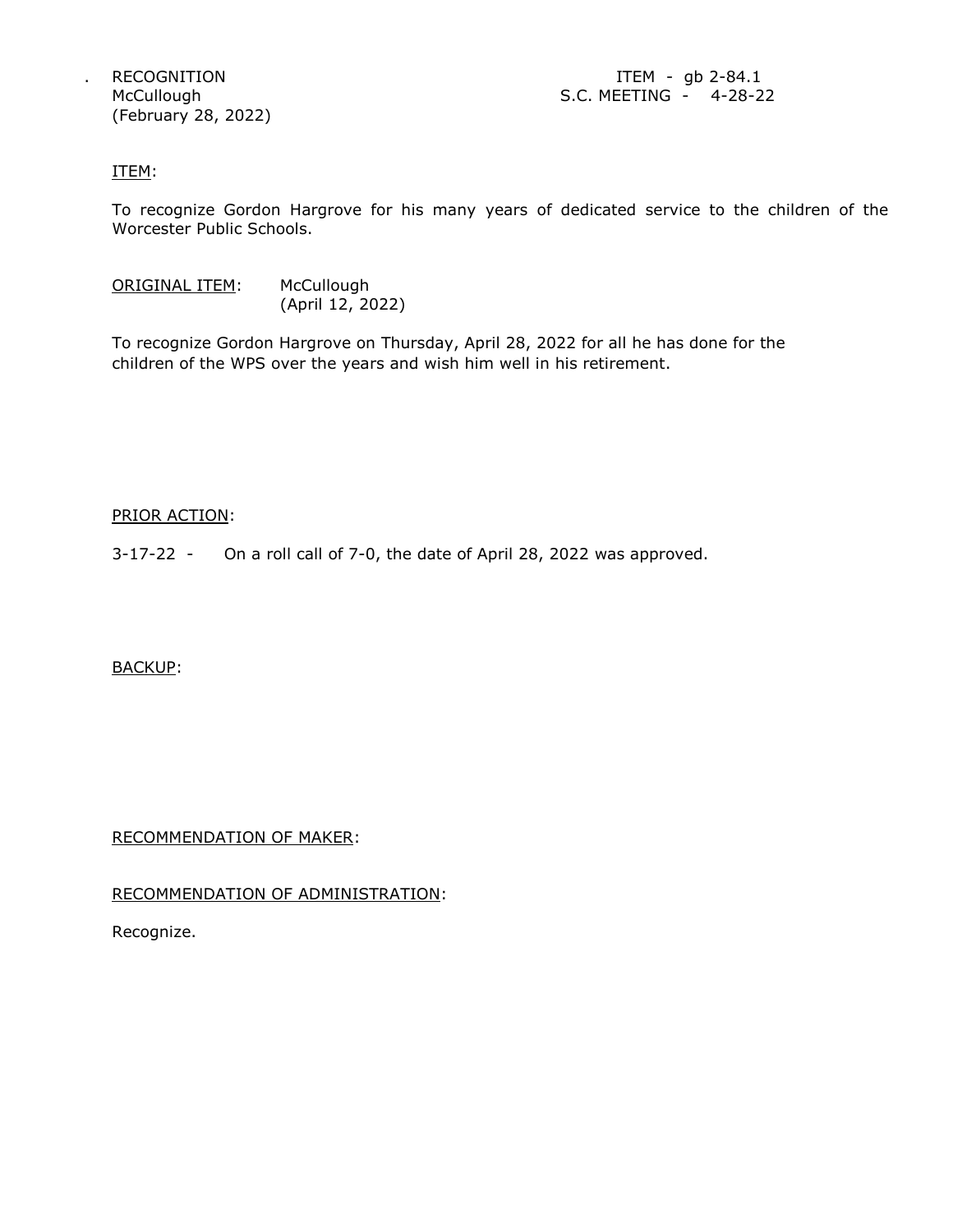(February 28, 2022)

RECOGNITION **ITEM** - gb 2-84.1 McCullough S.C. MEETING - 4-28-22

#### ITEM:

To recognize Gordon Hargrove for his many years of dedicated service to the children of the Worcester Public Schools.

ORIGINAL ITEM: McCullough (April 12, 2022)

To recognize Gordon Hargrove on Thursday, April 28, 2022 for all he has done for the children of the WPS over the years and wish him well in his retirement.

#### PRIOR ACTION:

3-17-22 - On a roll call of 7-0, the date of April 28, 2022 was approved.

### BACKUP:

RECOMMENDATION OF MAKER:

### RECOMMENDATION OF ADMINISTRATION:

Recognize.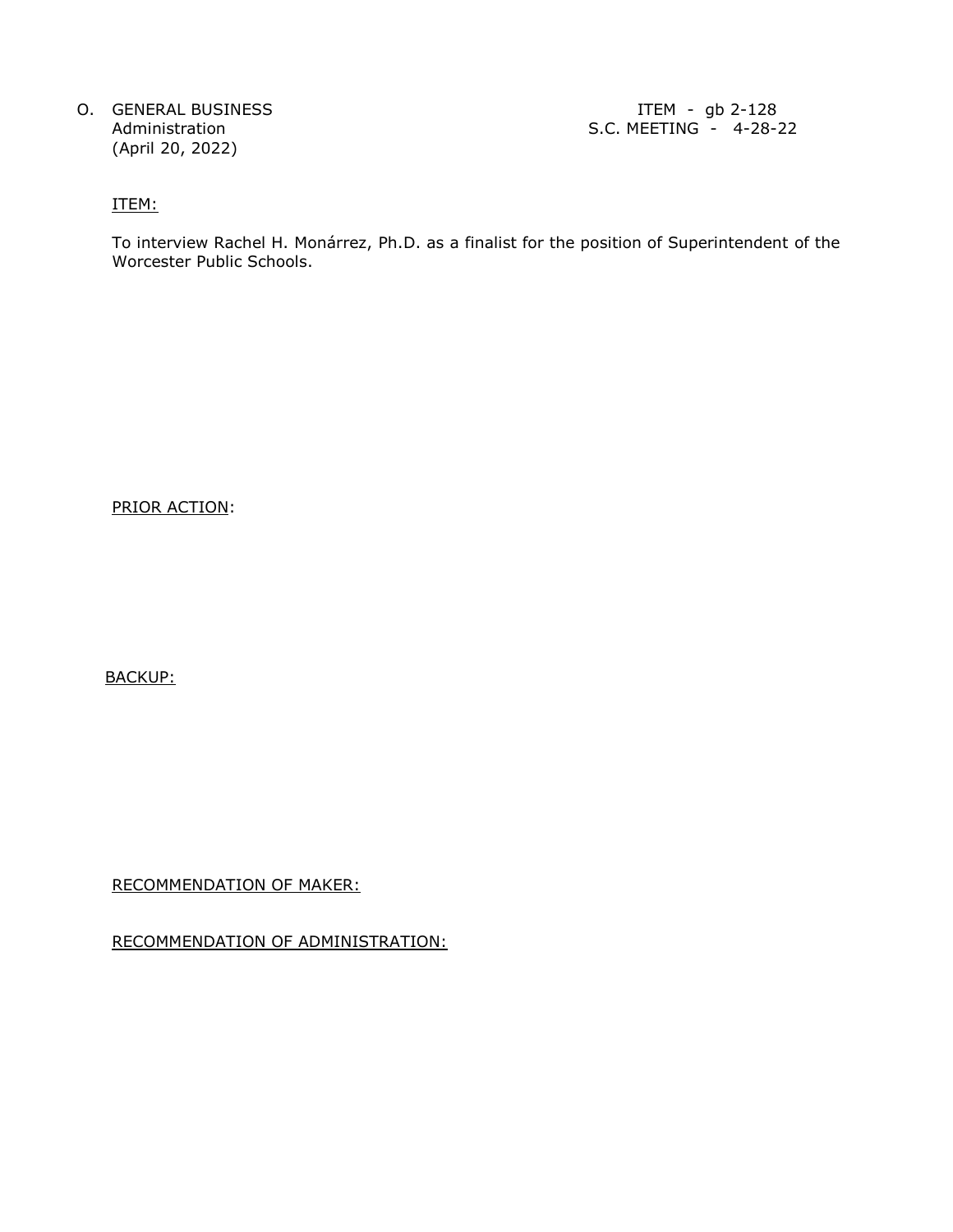O. GENERAL BUSINESS **ITEM** - gb 2-128 (April 20, 2022)

Administration S.C. MEETING - 4-28-22

ITEM:

To interview Rachel H. Monárrez, Ph.D. as a finalist for the position of Superintendent of the Worcester Public Schools.

PRIOR ACTION:

BACKUP:

RECOMMENDATION OF MAKER:

RECOMMENDATION OF ADMINISTRATION: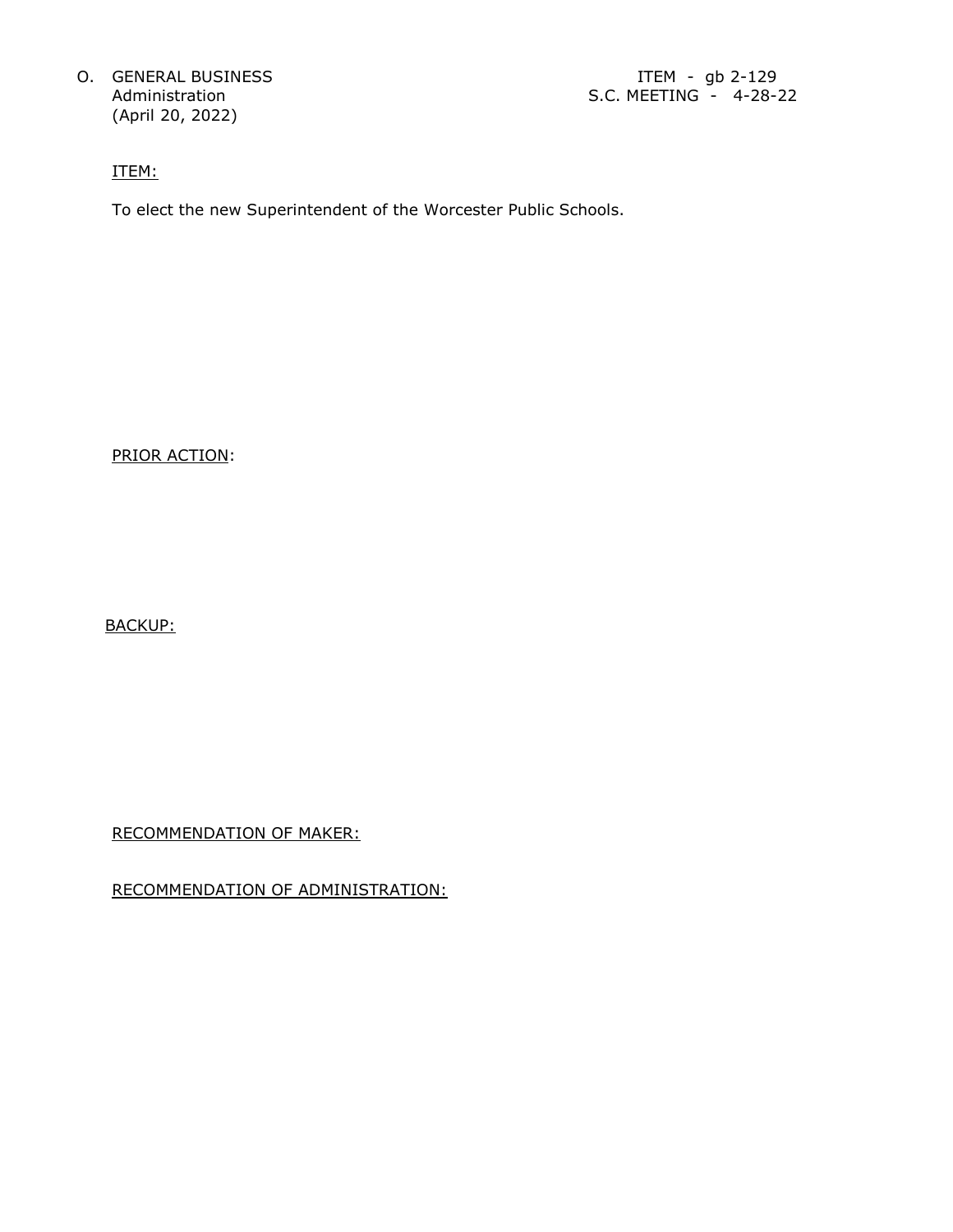O. GENERAL BUSINESS **ITEM** - gb 2-129 (April 20, 2022)

ITEM:

To elect the new Superintendent of the Worcester Public Schools.

PRIOR ACTION:

BACKUP:

RECOMMENDATION OF MAKER:

RECOMMENDATION OF ADMINISTRATION: